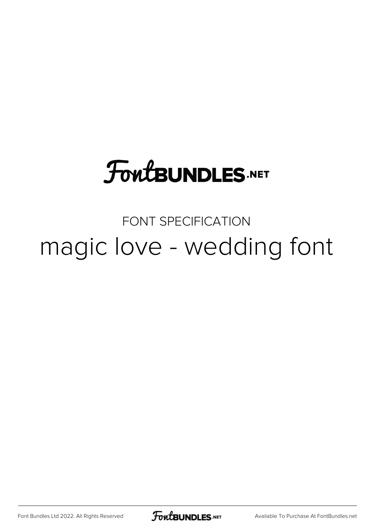# **FoutBUNDLES.NET**

# FONT SPECIFICATION magic love - wedding font

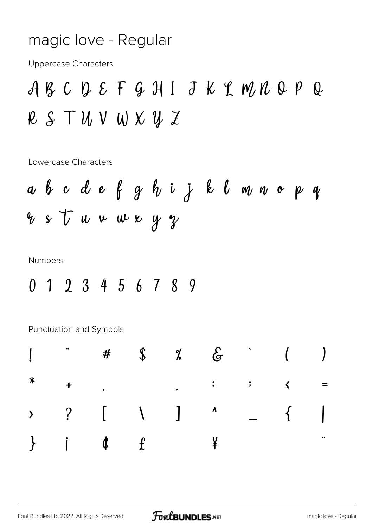#### magic love - Regular

**Uppercase Characters** 

ABCDEFGHIJKLMNOPQ  $R S T U V W X Y Z$ 

Lowercase Characters

**Numbers** 

0 1 2 3 4 5 6 7 8 9

Punctuation and Symbols

|  |  | $\frac{1}{2}$ $\frac{1}{2}$ $\frac{1}{2}$ $\frac{1}{2}$ $\frac{1}{2}$ $\frac{1}{2}$ $\frac{1}{2}$ $\frac{1}{2}$ $\frac{1}{2}$ $\frac{1}{2}$ $\frac{1}{2}$ $\frac{1}{2}$ $\frac{1}{2}$ $\frac{1}{2}$ $\frac{1}{2}$ $\frac{1}{2}$ $\frac{1}{2}$ $\frac{1}{2}$ $\frac{1}{2}$ $\frac{1}{2}$ $\frac{1}{2}$ $\frac{1}{2}$ |  |  |
|--|--|---------------------------------------------------------------------------------------------------------------------------------------------------------------------------------------------------------------------------------------------------------------------------------------------------------------------|--|--|
|  |  | * + , - , : ; < =                                                                                                                                                                                                                                                                                                   |  |  |
|  |  | > ? [ \ ] ^ _ {  <br>} j ¢ f ¤ ¥   § "                                                                                                                                                                                                                                                                              |  |  |
|  |  |                                                                                                                                                                                                                                                                                                                     |  |  |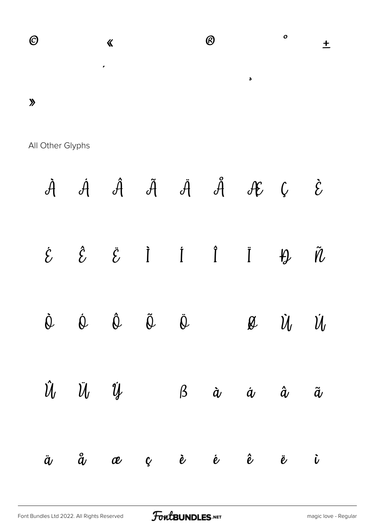

All Other Glyphs

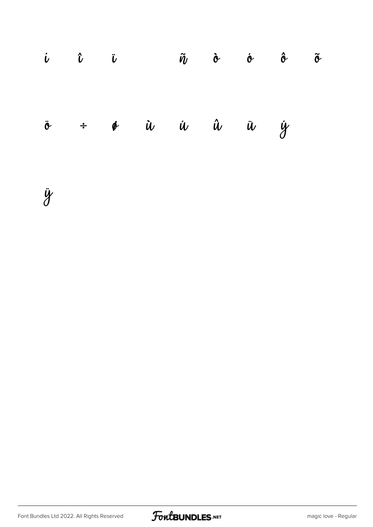|  |  |  | $\dot{u}$ $\dot{u}$ $\ddot{0}$ $\ddot{u}$ $\dot{v}$ $\dot{v}$ $\dot{v}$ $\ddot{v}$      |  |
|--|--|--|-----------------------------------------------------------------------------------------|--|
|  |  |  | $\ddot{\circ}$ $\div$ $\phi$ $\dot{u}$ $\dot{u}$ $\ddot{u}$ $\ddot{u}$ $\dot{y}$ $\phi$ |  |

ÿ

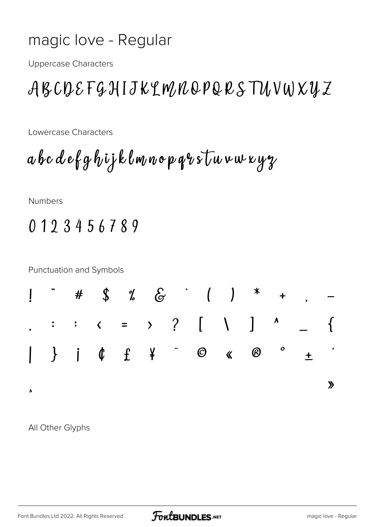#### magic love - Regular

**Uppercase Characters** 

## ABCDEFGHIJKLMNQPQRSTUVWXUZ

Lowercase Characters

abcdefghijklmnopqrstuvwxyz

Numbers

### 0123456789

**Punctuation and Symbols** 



All Other Glyphs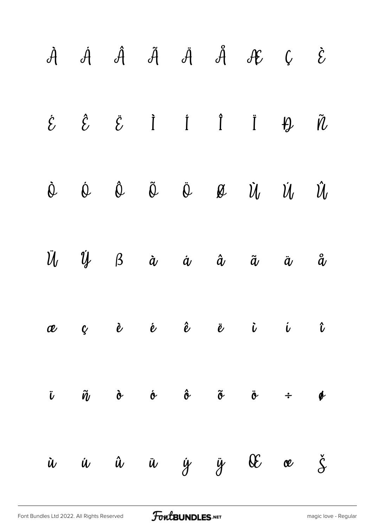|           |  |  | $\dot{\mathcal{A}}\hspace{0.3cm} \dot{\mathcal{A}}\hspace{0.3cm} \dot{\mathcal{A}}\hspace{0.3cm} \dot{\mathcal{A}}\hspace{0.3cm} \dot{\mathcal{A}}\hspace{0.3cm} \dot{\mathcal{A}}\hspace{0.3cm} \dot{\mathcal{A}}\hspace{0.3cm} \mathcal{E}\hspace{0.3cm} \mathcal{C}$                                                                                                                                                                                                                | $\mathcal{\dot{E}}$ |
|-----------|--|--|----------------------------------------------------------------------------------------------------------------------------------------------------------------------------------------------------------------------------------------------------------------------------------------------------------------------------------------------------------------------------------------------------------------------------------------------------------------------------------------|---------------------|
|           |  |  | $\dot{\mathcal{E}}\qquad\hat{\mathcal{E}}\qquad\hat{\mathcal{E}}\qquad\dot{\mathbf{I}}\qquad\dot{\mathbf{I}}\qquad\ddot{\mathbf{I}}\qquad\ddot{\mathbf{H}}\qquad\tilde{\mathbf{W}}$                                                                                                                                                                                                                                                                                                    |                     |
|           |  |  | $\begin{matrix} \dot{\mathbb{Q}}\\ \dot{\mathbb{Q}}\\ \dot{\mathbb{Q}}\\ \dot{\mathbb{Q}}\\ \dot{\mathbb{Q}}\\ \dot{\mathbb{Q}}\\ \dot{\mathbb{Q}}\\ \dot{\mathbb{Q}}\\ \dot{\mathbb{Q}}\\ \dot{\mathbb{Q}}\\ \dot{\mathbb{Q}}\\ \dot{\mathbb{Q}}\\ \dot{\mathbb{Q}}\\ \dot{\mathbb{Q}}\\ \dot{\mathbb{Q}}\\ \dot{\mathbb{Q}}\\ \dot{\mathbb{Q}}\\ \dot{\mathbb{Q}}\\ \dot{\mathbb{Q}}\\ \dot{\mathbb{Q}}\\ \dot{\mathbb{Q}}\\ \dot{\mathbb{Q}}\\ \dot{\mathbb{Q}}\\ \dot{\mathbb{Q}}$ |                     |
|           |  |  | $\ddot{U}$ $\dot{U}$ $\beta$ $\dot{\alpha}$ $\dot{\alpha}$ $\ddot{\alpha}$ $\ddot{\alpha}$ $\ddot{\alpha}$ $\ddot{\alpha}$                                                                                                                                                                                                                                                                                                                                                             |                     |
|           |  |  | æçè é ê ë i i                                                                                                                                                                                                                                                                                                                                                                                                                                                                          |                     |
|           |  |  | $\ddot{v}$ $\ddot{\tilde{v}}$ $\dot{\tilde{v}}$ $\dot{\tilde{v}}$ $\ddot{\tilde{v}}$ $\ddot{\tilde{v}}$ $\dot{\tilde{v}}$ $\dot{\tilde{v}}$ $\dot{\tilde{v}}$                                                                                                                                                                                                                                                                                                                          |                     |
| $\dot{u}$ |  |  | i û ü ÿ ÿ Œ œ ž                                                                                                                                                                                                                                                                                                                                                                                                                                                                        |                     |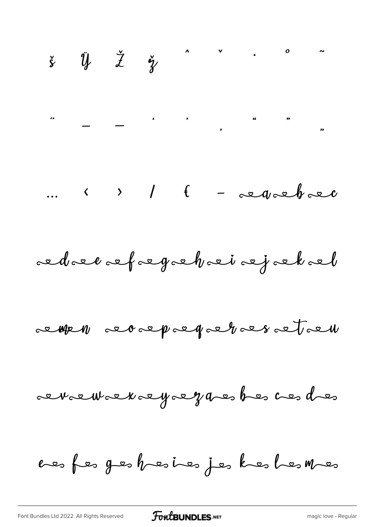